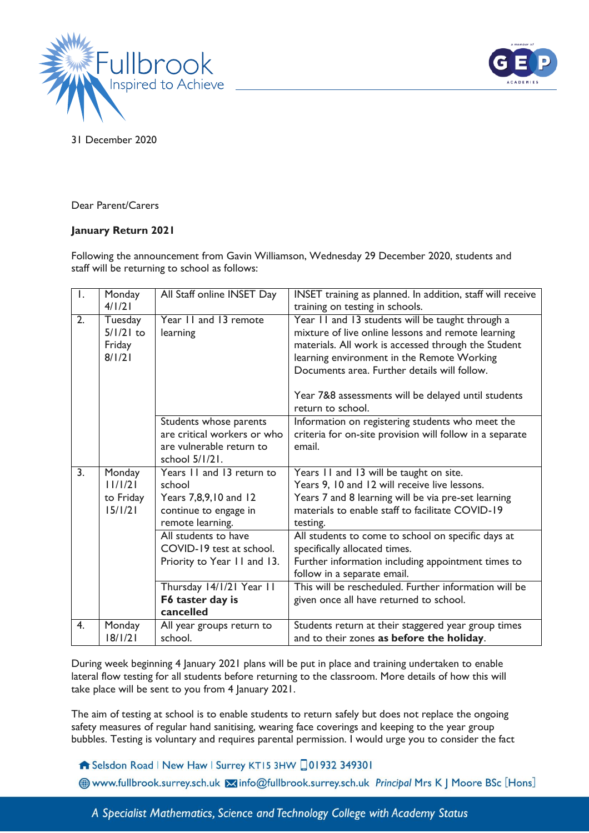



31 December 2020

Dear Parent/Carers

## **January Return 2021**

Following the announcement from Gavin Williamson, Wednesday 29 December 2020, students and staff will be returning to school as follows:

| $\overline{1}$ . | Monday            | All Staff online INSET Day           | INSET training as planned. In addition, staff will receive                                       |
|------------------|-------------------|--------------------------------------|--------------------------------------------------------------------------------------------------|
|                  | 4/1/21            |                                      | training on testing in schools.                                                                  |
| $\overline{2}$ . | Tuesday           | Year 11 and 13 remote                | Year 11 and 13 students will be taught through a                                                 |
|                  | $5/1/21$ to       | learning                             | mixture of live online lessons and remote learning                                               |
|                  | Friday            |                                      | materials. All work is accessed through the Student                                              |
|                  | 8/1/21            |                                      | learning environment in the Remote Working                                                       |
|                  |                   |                                      | Documents area. Further details will follow.                                                     |
|                  |                   |                                      | Year 7&8 assessments will be delayed until students                                              |
|                  |                   |                                      | return to school.                                                                                |
|                  |                   | Students whose parents               | Information on registering students who meet the                                                 |
|                  |                   | are critical workers or who          | criteria for on-site provision will follow in a separate                                         |
|                  |                   | are vulnerable return to             | email.                                                                                           |
|                  |                   | school 5/1/21.                       |                                                                                                  |
| $\overline{3}$ . | Monday            | Years 11 and 13 return to            | Years 11 and 13 will be taught on site.                                                          |
|                  | 11/1/21           | school                               | Years 9, 10 and 12 will receive live lessons.                                                    |
|                  | to Friday         | Years 7,8,9,10 and 12                | Years 7 and 8 learning will be via pre-set learning                                              |
|                  | 15/1/21           | continue to engage in                | materials to enable staff to facilitate COVID-19                                                 |
|                  |                   | remote learning.                     | testing.                                                                                         |
|                  |                   | All students to have                 | All students to come to school on specific days at                                               |
|                  |                   |                                      |                                                                                                  |
|                  |                   | COVID-19 test at school.             | specifically allocated times.                                                                    |
|                  |                   | Priority to Year 11 and 13.          | Further information including appointment times to                                               |
|                  |                   |                                      | follow in a separate email.                                                                      |
|                  |                   | Thursday 14/1/21 Year 11             | This will be rescheduled. Further information will be                                            |
|                  |                   | F6 taster day is                     | given once all have returned to school.                                                          |
|                  |                   | cancelled                            |                                                                                                  |
| 4.               | Monday<br>18/1/21 | All year groups return to<br>school. | Students return at their staggered year group times<br>and to their zones as before the holiday. |

During week beginning 4 January 2021 plans will be put in place and training undertaken to enable lateral flow testing for all students before returning to the classroom. More details of how this will take place will be sent to you from 4 January 2021.

The aim of testing at school is to enable students to return safely but does not replace the ongoing safety measures of regular hand sanitising, wearing face coverings and keeping to the year group bubbles. Testing is voluntary and requires parental permission. I would urge you to consider the fact

Selsdon Road | New Haw | Surrey KT15 3HW 01932 349301

Www.fullbrook.surrey.sch.uk Minfo@fullbrook.surrey.sch.uk Principal Mrs K J Moore BSc [Hons]

A Specialist Mathematics, Science and Technology College with Academy Status